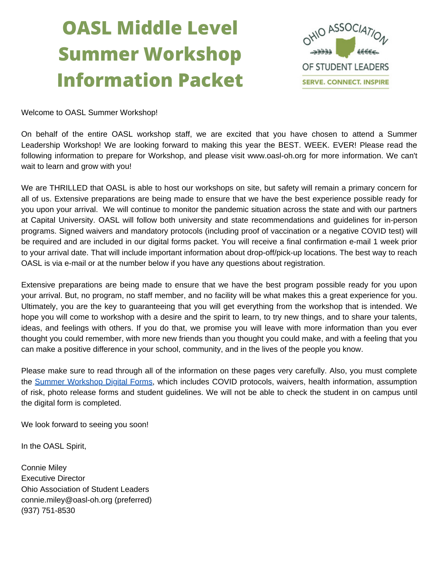# **OASL Middle Level Summer Workshop Information Packet**



Welcome to OASL Summer [Workshop!](https://docs.google.com/forms/d/e/1FAIpQLSdlz6VFCGlRiKShvJeKHlWBMbOy6CWkDJF7jeBZu9wY3mOFsA/viewform)

On behalf of the entire OASL [workshop](https://docs.google.com/forms/d/e/1FAIpQLSdlz6VFCGlRiKShvJeKHlWBMbOy6CWkDJF7jeBZu9wY3mOFsA/viewform) staff, we are excited that you have chosen to attend a Summer Leadership Workshop! We are looking forward to making this year the BEST. WEEK. EVER! Please read the following information to prepare for Workshop, and please visit [www.oasl-oh.org](https://docs.google.com/forms/d/e/1FAIpQLSdlz6VFCGlRiKShvJeKHlWBMbOy6CWkDJF7jeBZu9wY3mOFsA/viewform) for more information. We can't wait to learn and grow with you!

We are THRILLED that OASL is able to host our workshops on site, but safety will remain a primary concern for all of us. Extensive [preparations](https://docs.google.com/forms/d/e/1FAIpQLSdlz6VFCGlRiKShvJeKHlWBMbOy6CWkDJF7jeBZu9wY3mOFsA/viewform) are being made to ensure that we have the best experience possible ready for you upon your arrival. [W](https://docs.google.com/forms/d/e/1FAIpQLSdlz6VFCGlRiKShvJeKHlWBMbOy6CWkDJF7jeBZu9wY3mOFsA/viewform)e will continue to monitor the pandemic situation across the state and with our partners at Capital University. OASL will follow both university and state [recommendations](https://docs.google.com/forms/d/e/1FAIpQLSdlz6VFCGlRiKShvJeKHlWBMbOy6CWkDJF7jeBZu9wY3mOFsA/viewform) and guidelines for in-person programs. Signed waivers and mandatory protocols (including proof of vaccination or a negative COVID test) will be required and are included in our digital forms packet. You will receive a final confirmation e-mail 1 week prior to your arrival date. That will include important information about [drop-off/pick-up](https://docs.google.com/forms/d/e/1FAIpQLSdlz6VFCGlRiKShvJeKHlWBMbOy6CWkDJF7jeBZu9wY3mOFsA/viewform) locations. The best way to reach OASL is via e-mail or at the number below if you have any questions about registration[.](https://docs.google.com/forms/d/e/1FAIpQLSdlz6VFCGlRiKShvJeKHlWBMbOy6CWkDJF7jeBZu9wY3mOFsA/viewform)

Extensive preparations are being made to ensure that we have the best program possible ready for you upon your arrival. But, no program, no staff member, and no facility will be what makes this a great experience for you. Ultimately, you are the key to [guaranteeing](https://docs.google.com/forms/d/e/1FAIpQLSdlz6VFCGlRiKShvJeKHlWBMbOy6CWkDJF7jeBZu9wY3mOFsA/viewform) that you will get everything from the workshop that is intended. We hope you will come to workshop with a desire and the spirit to learn, to try new things, and to share your talents, ideas, and feelings with others. If you do that, we promise you will leave with more information than you ever thought you could remember, with more new friends than you thought you could make, and with a feeling that you can make a positive difference in your school, [community,](https://docs.google.com/forms/d/e/1FAIpQLSdlz6VFCGlRiKShvJeKHlWBMbOy6CWkDJF7jeBZu9wY3mOFsA/viewform) and in the lives of the people you know.

Please make sure to read through all of the [information](https://docs.google.com/forms/d/e/1FAIpQLSdlz6VFCGlRiKShvJeKHlWBMbOy6CWkDJF7jeBZu9wY3mOFsA/viewform) on these pages very carefully. Also, you must complete the Summer [Workshop](https://docs.google.com/forms/d/e/1FAIpQLSdlz6VFCGlRiKShvJeKHlWBMbOy6CWkDJF7jeBZu9wY3mOFsA/viewform) Digital Forms, which includes COVID protocols, waivers, health [information,](https://docs.google.com/forms/d/e/1FAIpQLSdlz6VFCGlRiKShvJeKHlWBMbOy6CWkDJF7jeBZu9wY3mOFsA/viewform) assumption of risk, photo release forms and student guidelines. We will not be able to check the student in on campus until the digital form is completed.

We look [forward](https://docs.google.com/forms/d/e/1FAIpQLSdlz6VFCGlRiKShvJeKHlWBMbOy6CWkDJF7jeBZu9wY3mOFsA/viewform) to seeing you soon[!](https://docs.google.com/forms/d/e/1FAIpQLSdlz6VFCGlRiKShvJeKHlWBMbOy6CWkDJF7jeBZu9wY3mOFsA/viewform)

In the [OASL](https://docs.google.com/forms/d/e/1FAIpQLSdlz6VFCGlRiKShvJeKHlWBMbOy6CWkDJF7jeBZu9wY3mOFsA/viewform) Spirit,

[Connie](https://docs.google.com/forms/d/e/1FAIpQLSdlz6VFCGlRiKShvJeKHlWBMbOy6CWkDJF7jeBZu9wY3mOFsA/viewform) Miley [Executive](https://docs.google.com/forms/d/e/1FAIpQLSdlz6VFCGlRiKShvJeKHlWBMbOy6CWkDJF7jeBZu9wY3mOFsA/viewform) Director Ohio [Association](https://docs.google.com/forms/d/e/1FAIpQLSdlz6VFCGlRiKShvJeKHlWBMbOy6CWkDJF7jeBZu9wY3mOFsA/viewform) of Student Leaders [connie.miley@oasl-oh.org](https://docs.google.com/forms/d/e/1FAIpQLSdlz6VFCGlRiKShvJeKHlWBMbOy6CWkDJF7jeBZu9wY3mOFsA/viewform) (preferred) (937) [751-8530](https://docs.google.com/forms/d/e/1FAIpQLSdlz6VFCGlRiKShvJeKHlWBMbOy6CWkDJF7jeBZu9wY3mOFsA/viewform)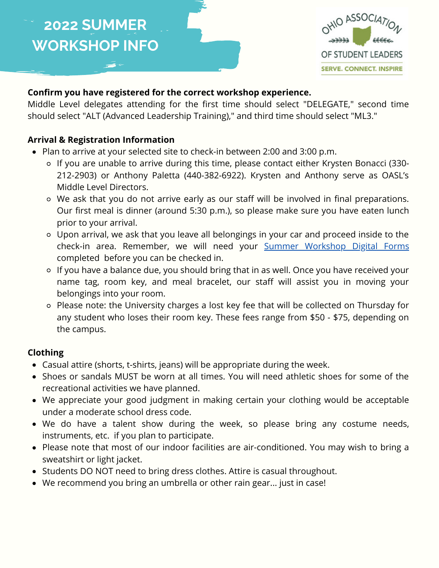

### **[Confirm you have registered for the correct workshop experience.](https://docs.google.com/forms/d/e/1FAIpQLSdlz6VFCGlRiKShvJeKHlWBMbOy6CWkDJF7jeBZu9wY3mOFsA/viewform)**

[Middle Level delegates attending for the first time should select "DELEGATE," second time](https://docs.google.com/forms/d/e/1FAIpQLSdlz6VFCGlRiKShvJeKHlWBMbOy6CWkDJF7jeBZu9wY3mOFsA/viewform) should select "ALT (Advanced Leadership Training)," and third time should select "ML3."

#### **[Arrival & Registration Information](https://docs.google.com/forms/d/e/1FAIpQLSdlz6VFCGlRiKShvJeKHlWBMbOy6CWkDJF7jeBZu9wY3mOFsA/viewform)**

- [Plan to arrive at your selected site to check-in between 2:00 and 3:00 p.m.](https://docs.google.com/forms/d/e/1FAIpQLSdlz6VFCGlRiKShvJeKHlWBMbOy6CWkDJF7jeBZu9wY3mOFsA/viewform)
	- If you are unable to arrive during this time, please contact either Krysten Bonacci (330- [212-2903\) or Anthony Paletta \(440-382-6922\). Krysten and Anthony serve as OASL's](https://docs.google.com/forms/d/e/1FAIpQLSdlz6VFCGlRiKShvJeKHlWBMbOy6CWkDJF7jeBZu9wY3mOFsA/viewform) Middle Level Directors.
	- We ask that you do not arrive early as our staff will be involved in final preparations. [Our first meal is dinner \(around 5:30 p.m.\), so please make sure you have eaten lunch](https://docs.google.com/forms/d/e/1FAIpQLSdlz6VFCGlRiKShvJeKHlWBMbOy6CWkDJF7jeBZu9wY3mOFsA/viewform) prior to your arrival.
	- [Upon arrival, we ask that you leave all belongings in your car and proceed inside to the](https://docs.google.com/forms/d/e/1FAIpQLSdlz6VFCGlRiKShvJeKHlWBMbOy6CWkDJF7jeBZu9wY3mOFsA/viewform) check-in area. Remember, we will need your [Summer Workshop Digital Forms](https://docs.google.com/forms/d/e/1FAIpQLSdlz6VFCGlRiKShvJeKHlWBMbOy6CWkDJF7jeBZu9wY3mOFsA/viewform) [completed before you can be checked in.](https://docs.google.com/forms/d/e/1FAIpQLSdlz6VFCGlRiKShvJeKHlWBMbOy6CWkDJF7jeBZu9wY3mOFsA/viewform)
	- o [If you have a balance due, you should bring that in as well. Once you have received your](https://docs.google.com/forms/d/e/1FAIpQLSdlz6VFCGlRiKShvJeKHlWBMbOy6CWkDJF7jeBZu9wY3mOFsA/viewform) name tag, room key, and meal bracelet, our staff will assist you in moving your belongings into your room.
	- [Please note: the University charges a lost key fee that will be collected on Thursday for](https://docs.google.com/forms/d/e/1FAIpQLSdlz6VFCGlRiKShvJeKHlWBMbOy6CWkDJF7jeBZu9wY3mOFsA/viewform) any student who loses their room key. These fees range from \$50 - \$75, depending on the campus.

### **[Clothing](https://docs.google.com/forms/d/e/1FAIpQLSdlz6VFCGlRiKShvJeKHlWBMbOy6CWkDJF7jeBZu9wY3mOFsA/viewform)**

- [Casual attire \(shorts, t-shirts, jeans\) will be appropriate during the week.](https://docs.google.com/forms/d/e/1FAIpQLSdlz6VFCGlRiKShvJeKHlWBMbOy6CWkDJF7jeBZu9wY3mOFsA/viewform)
- [Shoes or sandals MUST be worn at all times. You will need athletic shoes for some of the](https://docs.google.com/forms/d/e/1FAIpQLSdlz6VFCGlRiKShvJeKHlWBMbOy6CWkDJF7jeBZu9wY3mOFsA/viewform) recreational activities we have planned.
- [We appreciate your good judgment in making certain your clothing would be acceptable](https://docs.google.com/forms/d/e/1FAIpQLSdlz6VFCGlRiKShvJeKHlWBMbOy6CWkDJF7jeBZu9wY3mOFsA/viewform) under a moderate school dress code.
- [We do have a talent show during the week, so please bring any costume needs,](https://docs.google.com/forms/d/e/1FAIpQLSdlz6VFCGlRiKShvJeKHlWBMbOy6CWkDJF7jeBZu9wY3mOFsA/viewform) instruments, etc. [if you plan to participate.](https://docs.google.com/forms/d/e/1FAIpQLSdlz6VFCGlRiKShvJeKHlWBMbOy6CWkDJF7jeBZu9wY3mOFsA/viewform)
- [Please note that most of our indoor facilities are air-conditioned. You may wish to bring a](https://docs.google.com/forms/d/e/1FAIpQLSdlz6VFCGlRiKShvJeKHlWBMbOy6CWkDJF7jeBZu9wY3mOFsA/viewform) sweatshirt or light jacket.
- [Students DO NOT need to bring dress clothes. Attire is casual throughout.](https://docs.google.com/forms/d/e/1FAIpQLSdlz6VFCGlRiKShvJeKHlWBMbOy6CWkDJF7jeBZu9wY3mOFsA/viewform)
- [We recommend you bring an umbrella or other rain gear... just in case!](https://docs.google.com/forms/d/e/1FAIpQLSdlz6VFCGlRiKShvJeKHlWBMbOy6CWkDJF7jeBZu9wY3mOFsA/viewform)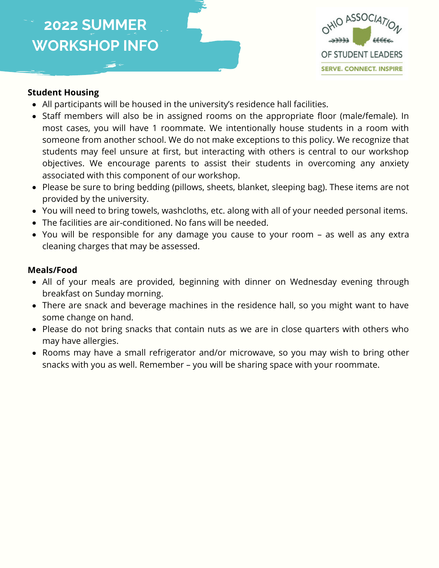

#### **Student Housing**

- All participants will be housed in the university's residence hall facilities.
- Staff members will also be in assigned rooms on the appropriate floor (male/female). In most cases, you will have 1 roommate. We intentionally house students in a room with someone from another school. We do not make exceptions to this policy. We recognize that students may feel unsure at first, but interacting with others is central to our workshop objectives. We encourage parents to assist their students in overcoming any anxiety associated with this component of our workshop.
- Please be sure to bring bedding (pillows, sheets, blanket, sleeping bag). These items are not provided by the university.
- You will need to bring towels, washcloths, etc. along with all of your needed personal items.
- The facilities are air-conditioned. No fans will be needed.
- You will be responsible for any damage you cause to your room as well as any extra cleaning charges that may be assessed.

#### **Meals/Food**

- All of your meals are provided, beginning with dinner on Wednesday evening through breakfast on Sunday morning.
- There are snack and beverage machines in the residence hall, so you might want to have some change on hand.
- Please do not bring snacks that contain nuts as we are in close quarters with others who may have allergies.
- Rooms may have a small refrigerator and/or microwave, so you may wish to bring other snacks with you as well. Remember – you will be sharing space with your roommate.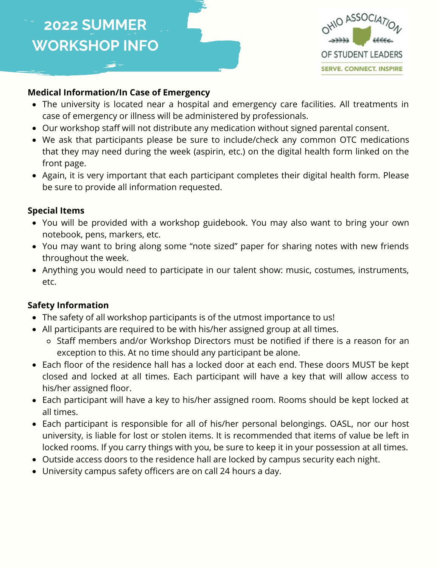

### **Medical Information/In Case of Emergency**

- The university is located near a hospital and emergency care facilities. All treatments in case of emergency or illness will be administered by professionals.
- Our workshop staff will not distribute any medication without signed parental consent.
- We ask that participants please be sure to include/check any common OTC medications that they may need during the week (aspirin, etc.) on the digital health form linked on the front page.
- Again, it is very important that each participant completes their digital health form. Please be sure to provide all information requested.

#### **Special Items**

- You will be provided with a workshop guidebook. You may also want to bring your own notebook, pens, markers, etc.
- You may want to bring along some "note sized" paper for sharing notes with new friends throughout the week.
- Anything you would need to participate in our talent show: music, costumes, instruments, etc.

### **Safety Information**

- The safety of all workshop participants is of the utmost importance to us!
- All participants are required to be with his/her assigned group at all times.
	- Staff members and/or Workshop Directors must be notified if there is a reason for an exception to this. At no time should any participant be alone.
- Each floor of the residence hall has a locked door at each end. These doors MUST be kept closed and locked at all times. Each participant will have a key that will allow access to his/her assigned floor.
- Each participant will have a key to his/her assigned room. Rooms should be kept locked at all times.
- Each participant is responsible for all of his/her personal belongings. OASL, nor our host university, is liable for lost or stolen items. It is recommended that items of value be left in locked rooms. If you carry things with you, be sure to keep it in your possession at all times.
- Outside access doors to the residence hall are locked by campus security each night.
- University campus safety officers are on call 24 hours a day.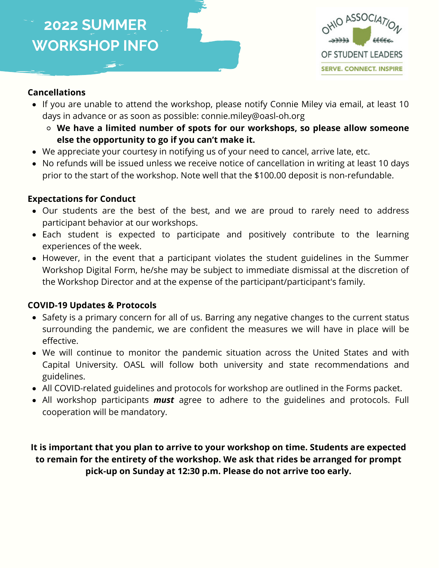

#### **Cancellations**

- If you are unable to attend the workshop, please notify Connie Miley via email, at least 10 days in advance or as soon as possible: connie.miley@oasl-oh.org
	- **We have a limited number of spots for our workshops, so please allow someone else the opportunity to go if you can't make it.**
- We appreciate your courtesy in notifying us of your need to cancel, arrive late, etc.
- No refunds will be issued unless we receive notice of cancellation in writing at least 10 days prior to the start of the workshop. Note well that the \$100.00 deposit is non-refundable.

#### **Expectations for Conduct**

- Our students are the best of the best, and we are proud to rarely need to address participant behavior at our workshops.
- Each student is expected to participate and positively contribute to the learning experiences of the week.
- However, in the event that a participant violates the student guidelines in the Summer Workshop Digital Form, he/she may be subject to immediate dismissal at the discretion of the Workshop Director and at the expense of the participant/participant's family.

#### **COVID-19 Updates & Protocols**

- Safety is a primary concern for all of us. Barring any negative changes to the current status surrounding the pandemic, we are confident the measures we will have in place will be effective.
- We will continue to monitor the pandemic situation across the United States and with Capital University. OASL will follow both university and state recommendations and guidelines.
- All COVID-related guidelines and protocols for workshop are outlined in the Forms packet.
- All workshop participants *must* agree to adhere to the guidelines and protocols. Full cooperation will be mandatory.

**It is important that you plan to arrive to your workshop on time. Students are expected to remain for the entirety of the workshop. We ask that rides be arranged for prompt pick-up on Sunday at 12:30 p.m. Please do not arrive too early.**